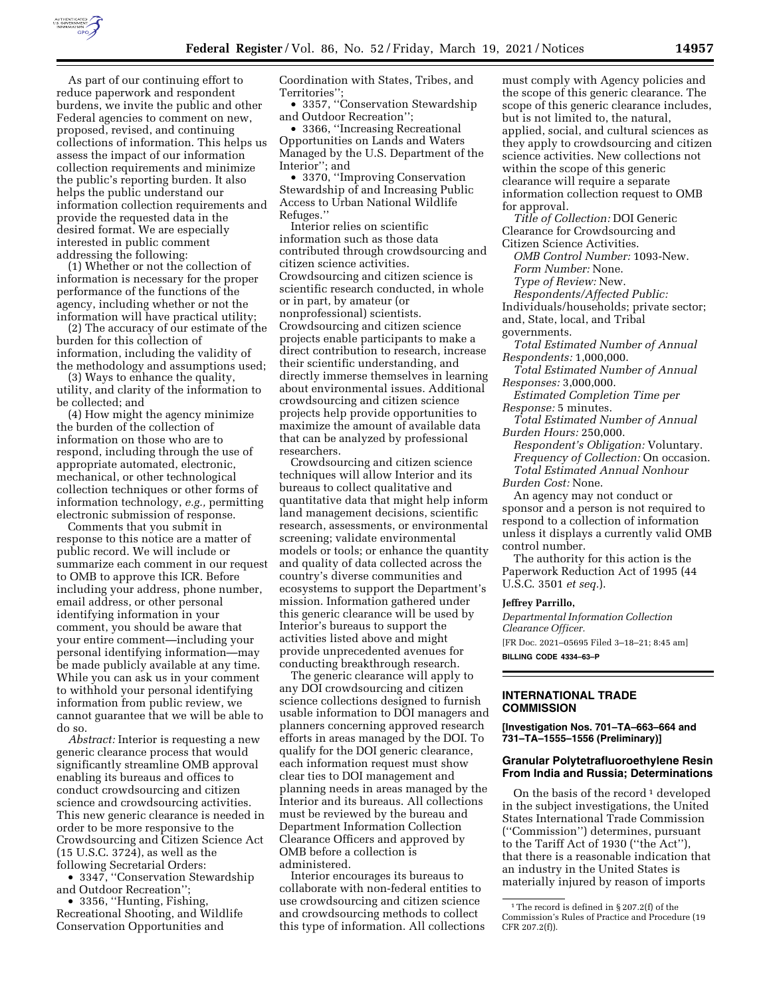

Opportunities on Lands and Waters Managed by the U.S. Department of the Interior''; and

• 3370, ''Improving Conservation Stewardship of and Increasing Public Access to Urban National Wildlife Refuges.''

Interior relies on scientific information such as those data contributed through crowdsourcing and citizen science activities. Crowdsourcing and citizen science is scientific research conducted, in whole or in part, by amateur (or nonprofessional) scientists. Crowdsourcing and citizen science projects enable participants to make a direct contribution to research, increase their scientific understanding, and directly immerse themselves in learning about environmental issues. Additional crowdsourcing and citizen science projects help provide opportunities to maximize the amount of available data that can be analyzed by professional researchers.

Crowdsourcing and citizen science techniques will allow Interior and its bureaus to collect qualitative and quantitative data that might help inform land management decisions, scientific research, assessments, or environmental screening; validate environmental models or tools; or enhance the quantity and quality of data collected across the country's diverse communities and ecosystems to support the Department's mission. Information gathered under this generic clearance will be used by Interior's bureaus to support the activities listed above and might provide unprecedented avenues for conducting breakthrough research.

The generic clearance will apply to any DOI crowdsourcing and citizen science collections designed to furnish usable information to DOI managers and planners concerning approved research efforts in areas managed by the DOI. To qualify for the DOI generic clearance, each information request must show clear ties to DOI management and planning needs in areas managed by the Interior and its bureaus. All collections must be reviewed by the bureau and Department Information Collection Clearance Officers and approved by OMB before a collection is administered.

Interior encourages its bureaus to collaborate with non-federal entities to use crowdsourcing and citizen science and crowdsourcing methods to collect this type of information. All collections must comply with Agency policies and the scope of this generic clearance. The scope of this generic clearance includes, but is not limited to, the natural, applied, social, and cultural sciences as they apply to crowdsourcing and citizen science activities. New collections not within the scope of this generic clearance will require a separate information collection request to OMB for approval.

*Title of Collection:* DOI Generic Clearance for Crowdsourcing and Citizen Science Activities.

*OMB Control Number:* 1093-New. *Form Number:* None. *Type of Review:* New.

*Respondents/Affected Public:*  Individuals/households; private sector;

and, State, local, and Tribal

governments.

*Total Estimated Number of Annual Respondents:* 1,000,000.

*Total Estimated Number of Annual Responses:* 3,000,000.

*Estimated Completion Time per Response:* 5 minutes.

*Total Estimated Number of Annual Burden Hours:* 250,000.

*Respondent's Obligation:* Voluntary. *Frequency of Collection:* On occasion. *Total Estimated Annual Nonhour Burden Cost:* None.

An agency may not conduct or sponsor and a person is not required to respond to a collection of information unless it displays a currently valid OMB control number.

The authority for this action is the Paperwork Reduction Act of 1995 (44 U.S.C. 3501 *et seq.*).

#### **Jeffrey Parrillo,**

*Departmental Information Collection Clearance Officer.* 

[FR Doc. 2021–05695 Filed 3–18–21; 8:45 am] **BILLING CODE 4334–63–P** 

### **INTERNATIONAL TRADE COMMISSION**

**[Investigation Nos. 701–TA–663–664 and 731–TA–1555–1556 (Preliminary)]** 

### **Granular Polytetrafluoroethylene Resin From India and Russia; Determinations**

On the basis of the record  $\frac{1}{1}$  developed in the subject investigations, the United States International Trade Commission (''Commission'') determines, pursuant to the Tariff Act of 1930 (''the Act''), that there is a reasonable indication that an industry in the United States is materially injured by reason of imports

As part of our continuing effort to reduce paperwork and respondent burdens, we invite the public and other Federal agencies to comment on new, proposed, revised, and continuing collections of information. This helps us assess the impact of our information collection requirements and minimize the public's reporting burden. It also helps the public understand our information collection requirements and provide the requested data in the desired format. We are especially interested in public comment addressing the following:

(1) Whether or not the collection of information is necessary for the proper performance of the functions of the agency, including whether or not the information will have practical utility;

(2) The accuracy of our estimate of the burden for this collection of information, including the validity of the methodology and assumptions used;

(3) Ways to enhance the quality, utility, and clarity of the information to be collected; and

(4) How might the agency minimize the burden of the collection of information on those who are to respond, including through the use of appropriate automated, electronic, mechanical, or other technological collection techniques or other forms of information technology, *e.g.,* permitting electronic submission of response.

Comments that you submit in response to this notice are a matter of public record. We will include or summarize each comment in our request to OMB to approve this ICR. Before including your address, phone number, email address, or other personal identifying information in your comment, you should be aware that your entire comment—including your personal identifying information—may be made publicly available at any time. While you can ask us in your comment to withhold your personal identifying information from public review, we cannot guarantee that we will be able to do so.

*Abstract:* Interior is requesting a new generic clearance process that would significantly streamline OMB approval enabling its bureaus and offices to conduct crowdsourcing and citizen science and crowdsourcing activities. This new generic clearance is needed in order to be more responsive to the Crowdsourcing and Citizen Science Act (15 U.S.C. 3724), as well as the following Secretarial Orders:

• 3347, ''Conservation Stewardship and Outdoor Recreation'';

• 3356, ''Hunting, Fishing, Recreational Shooting, and Wildlife Conservation Opportunities and

 $^{\rm 1}$  The record is defined in § 207.2(f) of the Commission's Rules of Practice and Procedure (19 CFR 207.2(f)).